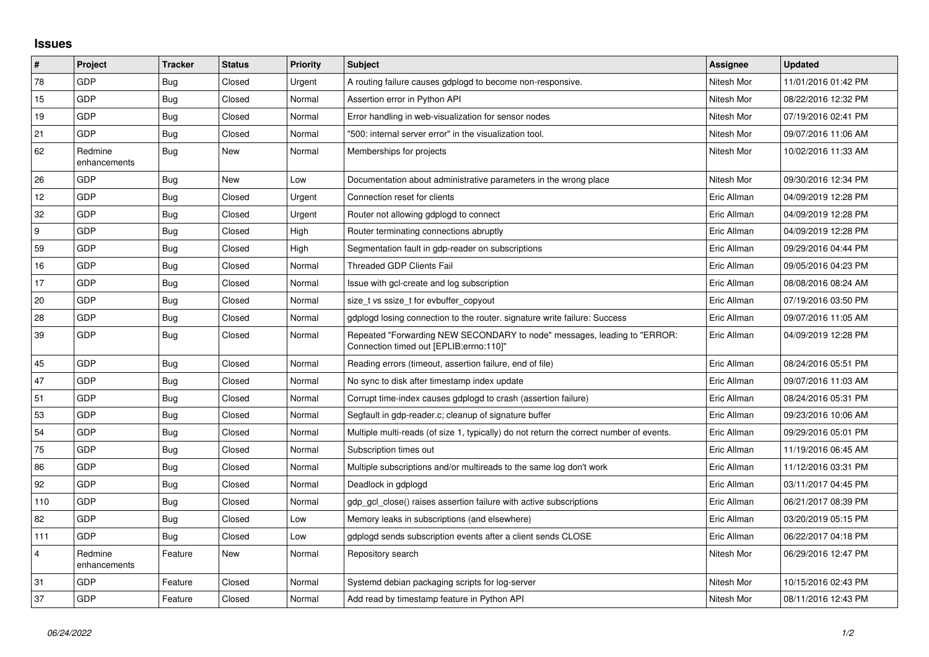## **Issues**

| $\vert$ #      | <b>Project</b>          | <b>Tracker</b> | <b>Status</b> | Priority | <b>Subject</b>                                                                                                      | Assignee    | <b>Updated</b>      |
|----------------|-------------------------|----------------|---------------|----------|---------------------------------------------------------------------------------------------------------------------|-------------|---------------------|
| 78             | GDP                     | Bug            | Closed        | Urgent   | A routing failure causes gdplogd to become non-responsive.                                                          | Nitesh Mor  | 11/01/2016 01:42 PM |
| 15             | GDP                     | <b>Bug</b>     | Closed        | Normal   | Assertion error in Python API                                                                                       | Nitesh Mor  | 08/22/2016 12:32 PM |
| 19             | <b>GDP</b>              | <b>Bug</b>     | Closed        | Normal   | Error handling in web-visualization for sensor nodes                                                                | Nitesh Mor  | 07/19/2016 02:41 PM |
| 21             | GDP                     | Bug            | Closed        | Normal   | "500: internal server error" in the visualization tool.                                                             | Nitesh Mor  | 09/07/2016 11:06 AM |
| 62             | Redmine<br>enhancements | Bug            | New           | Normal   | Memberships for projects                                                                                            | Nitesh Mor  | 10/02/2016 11:33 AM |
| 26             | <b>GDP</b>              | Bug            | New           | Low      | Documentation about administrative parameters in the wrong place                                                    | Nitesh Mor  | 09/30/2016 12:34 PM |
| 12             | GDP                     | <b>Bug</b>     | Closed        | Urgent   | Connection reset for clients                                                                                        | Eric Allman | 04/09/2019 12:28 PM |
| 32             | GDP                     | Bug            | Closed        | Urgent   | Router not allowing gdplogd to connect                                                                              | Eric Allman | 04/09/2019 12:28 PM |
| l 9            | GDP                     | <b>Bug</b>     | Closed        | High     | Router terminating connections abruptly                                                                             | Eric Allman | 04/09/2019 12:28 PM |
| 59             | GDP                     | <b>Bug</b>     | Closed        | High     | Segmentation fault in gdp-reader on subscriptions                                                                   | Eric Allman | 09/29/2016 04:44 PM |
| 16             | GDP                     | Bug            | Closed        | Normal   | <b>Threaded GDP Clients Fail</b>                                                                                    | Eric Allman | 09/05/2016 04:23 PM |
| 17             | GDP                     | <b>Bug</b>     | Closed        | Normal   | Issue with gcl-create and log subscription                                                                          | Eric Allman | 08/08/2016 08:24 AM |
| 20             | GDP                     | <b>Bug</b>     | Closed        | Normal   | size t vs ssize t for evbuffer copyout                                                                              | Eric Allman | 07/19/2016 03:50 PM |
| 28             | GDP                     | <b>Bug</b>     | Closed        | Normal   | gdplogd losing connection to the router, signature write failure: Success                                           | Eric Allman | 09/07/2016 11:05 AM |
| 39             | <b>GDP</b>              | <b>Bug</b>     | Closed        | Normal   | Repeated "Forwarding NEW SECONDARY to node" messages, leading to "ERROR:<br>Connection timed out [EPLIB:errno:110]" | Eric Allman | 04/09/2019 12:28 PM |
| 45             | GDP                     | Bug            | Closed        | Normal   | Reading errors (timeout, assertion failure, end of file)                                                            | Eric Allman | 08/24/2016 05:51 PM |
| 47             | GDP                     | <b>Bug</b>     | Closed        | Normal   | No sync to disk after timestamp index update                                                                        | Eric Allman | 09/07/2016 11:03 AM |
| 51             | <b>GDP</b>              | Bug            | Closed        | Normal   | Corrupt time-index causes gdplogd to crash (assertion failure)                                                      | Eric Allman | 08/24/2016 05:31 PM |
| 53             | GDP                     | <b>Bug</b>     | Closed        | Normal   | Segfault in gdp-reader.c; cleanup of signature buffer                                                               | Eric Allman | 09/23/2016 10:06 AM |
| 54             | GDP                     | <b>Bug</b>     | Closed        | Normal   | Multiple multi-reads (of size 1, typically) do not return the correct number of events.                             | Eric Allman | 09/29/2016 05:01 PM |
| 75             | GDP                     | <b>Bug</b>     | Closed        | Normal   | Subscription times out                                                                                              | Eric Allman | 11/19/2016 06:45 AM |
| 86             | GDP                     | <b>Bug</b>     | Closed        | Normal   | Multiple subscriptions and/or multireads to the same log don't work                                                 | Eric Allman | 11/12/2016 03:31 PM |
| 92             | GDP                     | <b>Bug</b>     | Closed        | Normal   | Deadlock in gdplogd                                                                                                 | Eric Allman | 03/11/2017 04:45 PM |
| 110            | GDP                     | Bug            | Closed        | Normal   | gdp gcl close() raises assertion failure with active subscriptions                                                  | Eric Allman | 06/21/2017 08:39 PM |
| 82             | GDP                     | <b>Bug</b>     | Closed        | Low      | Memory leaks in subscriptions (and elsewhere)                                                                       | Eric Allman | 03/20/2019 05:15 PM |
| 111            | GDP                     | Bug            | Closed        | Low      | gdplogd sends subscription events after a client sends CLOSE                                                        | Eric Allman | 06/22/2017 04:18 PM |
| $\overline{4}$ | Redmine<br>enhancements | Feature        | New           | Normal   | Repository search                                                                                                   | Nitesh Mor  | 06/29/2016 12:47 PM |
| 31             | GDP                     | Feature        | Closed        | Normal   | Systemd debian packaging scripts for log-server                                                                     | Nitesh Mor  | 10/15/2016 02:43 PM |
| 37             | GDP                     | Feature        | Closed        | Normal   | Add read by timestamp feature in Python API                                                                         | Nitesh Mor  | 08/11/2016 12:43 PM |